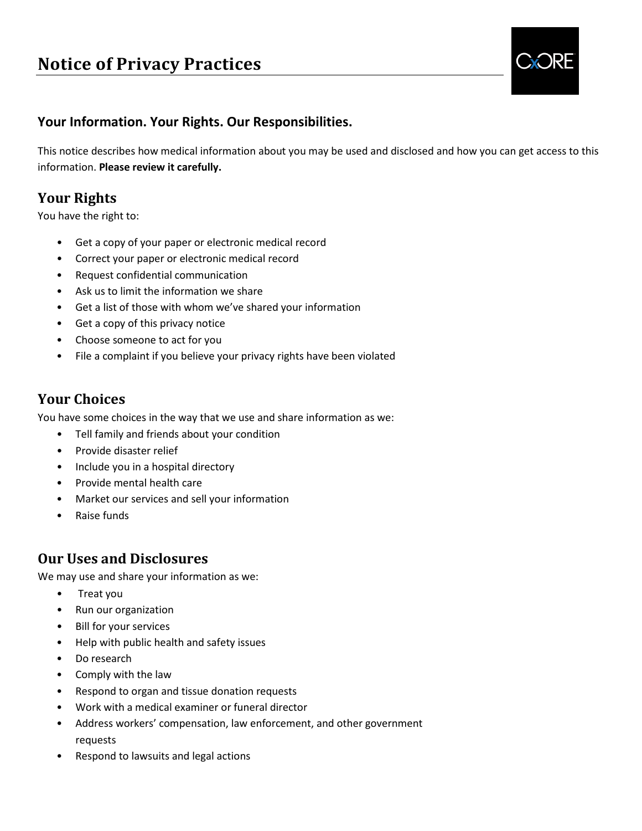

## **Your Information. Your Rights. Our Responsibilities.**

This notice describes how medical information about you may be used and disclosed and how you can get access to this information. **Please review it carefully.**

# **Your Rights**

You have the right to:

- Get a copy of your paper or electronic medical record
- Correct your paper or electronic medical record
- Request confidential communication
- Ask us to limit the information we share
- Get a list of those with whom we've shared your information
- Get a copy of this privacy notice
- Choose someone to act for you
- File a complaint if you believe your privacy rights have been violated

## **Your Choices**

You have some choices in the way that we use and share information as we:

- Tell family and friends about your condition
- Provide disaster relief
- Include you in a hospital directory
- Provide mental health care
- Market our services and sell your information
- Raise funds

# **Our Uses and Disclosures**

We may use and share your information as we:

- Treat you
- Run our organization
- Bill for your services
- Help with public health and safety issues
- Do research
- Comply with the law
- Respond to organ and tissue donation requests
- Work with a medical examiner or funeral director
- Address workers' compensation, law enforcement, and other government requests
- Respond to lawsuits and legal actions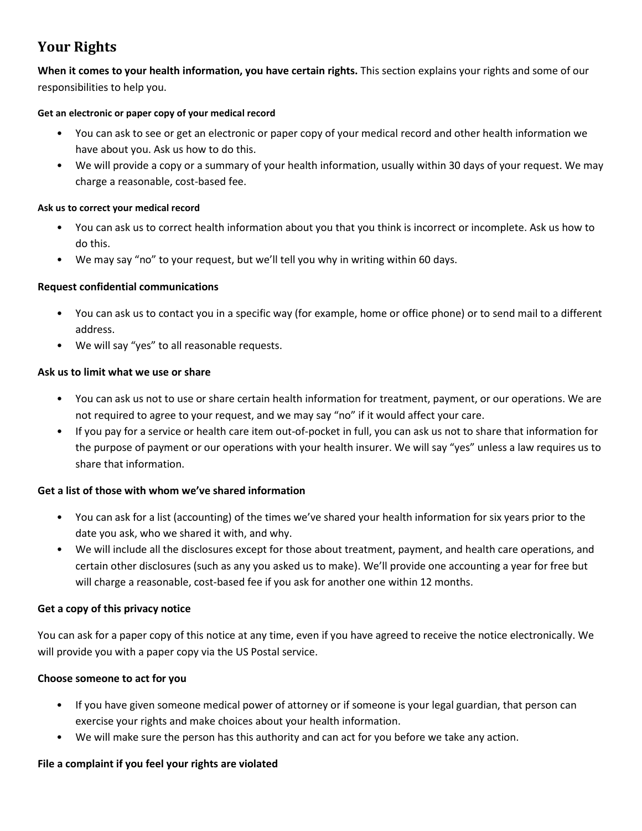# **Your Rights**

**When it comes to your health information, you have certain rights.** This section explains your rights and some of our responsibilities to help you.

#### **Get an electronic or paper copy of your medical record**

- You can ask to see or get an electronic or paper copy of your medical record and other health information we have about you. Ask us how to do this.
- We will provide a copy or a summary of your health information, usually within 30 days of your request. We may charge a reasonable, cost-based fee.

#### **Ask us to correct your medical record**

- You can ask us to correct health information about you that you think is incorrect or incomplete. Ask us how to do this.
- We may say "no" to your request, but we'll tell you why in writing within 60 days.

### **Request confidential communications**

- You can ask us to contact you in a specific way (for example, home or office phone) or to send mail to a different address.
- We will say "yes" to all reasonable requests.

#### **Ask us to limit what we use or share**

- You can ask us not to use or share certain health information for treatment, payment, or our operations. We are not required to agree to your request, and we may say "no" if it would affect your care.
- If you pay for a service or health care item out-of-pocket in full, you can ask us not to share that information for the purpose of payment or our operations with your health insurer. We will say "yes" unless a law requires us to share that information.

### **Get a list of those with whom we've shared information**

- You can ask for a list (accounting) of the times we've shared your health information for six years prior to the date you ask, who we shared it with, and why.
- We will include all the disclosures except for those about treatment, payment, and health care operations, and certain other disclosures (such as any you asked us to make). We'll provide one accounting a year for free but will charge a reasonable, cost-based fee if you ask for another one within 12 months.

### **Get a copy of this privacy notice**

You can ask for a paper copy of this notice at any time, even if you have agreed to receive the notice electronically. We will provide you with a paper copy via the US Postal service.

### **Choose someone to act for you**

- If you have given someone medical power of attorney or if someone is your legal guardian, that person can exercise your rights and make choices about your health information.
- We will make sure the person has this authority and can act for you before we take any action.

#### **File a complaint if you feel your rights are violated**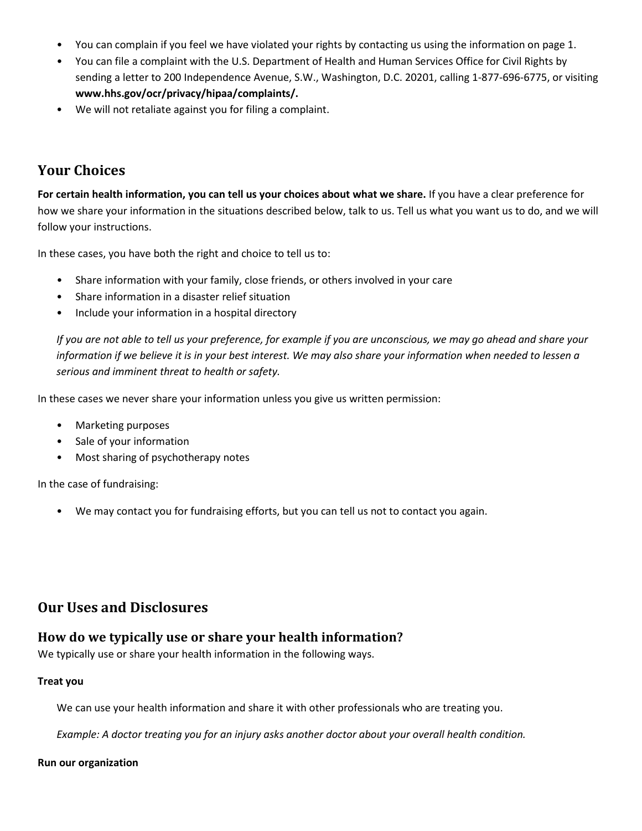- You can complain if you feel we have violated your rights by contacting us using the information on page 1.
- You can file a complaint with the U.S. Department of Health and Human Services Office for Civil Rights by sending a letter to 200 Independence Avenue, S.W., Washington, D.C. 20201, calling 1-877-696-6775, or visiting **www.hhs.gov/ocr/privacy/hipaa/complaints/.**
- We will not retaliate against you for filing a complaint.

## **Your Choices**

**For certain health information, you can tell us your choices about what we share.** If you have a clear preference for how we share your information in the situations described below, talk to us. Tell us what you want us to do, and we will follow your instructions.

In these cases, you have both the right and choice to tell us to:

- Share information with your family, close friends, or others involved in your care
- Share information in a disaster relief situation
- Include your information in a hospital directory

*If you are not able to tell us your preference, for example if you are unconscious, we may go ahead and share your information if we believe it is in your best interest. We may also share your information when needed to lessen a serious and imminent threat to health or safety.*

In these cases we never share your information unless you give us written permission:

- Marketing purposes
- Sale of your information
- Most sharing of psychotherapy notes

In the case of fundraising:

• We may contact you for fundraising efforts, but you can tell us not to contact you again.

## **Our Uses and Disclosures**

## **How do we typically use or share your health information?**

We typically use or share your health information in the following ways.

#### **Treat you**

We can use your health information and share it with other professionals who are treating you.

*Example: A doctor treating you for an injury asks another doctor about your overall health condition.*

#### **Run our organization**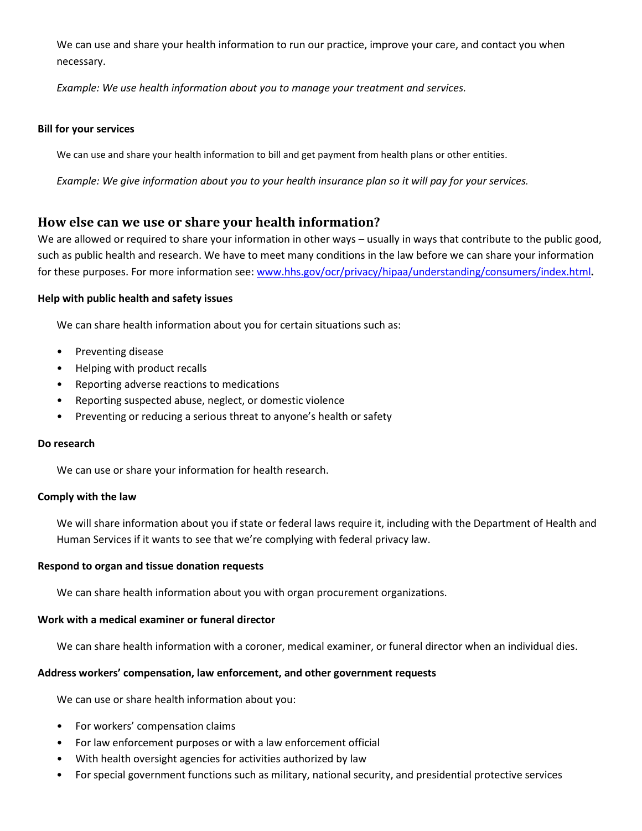We can use and share your health information to run our practice, improve your care, and contact you when necessary.

*Example: We use health information about you to manage your treatment and services.* 

#### **Bill for your services**

We can use and share your health information to bill and get payment from health plans or other entities.

*Example: We give information about you to your health insurance plan so it will pay for your services.* 

### **How else can we use or share your health information?**

We are allowed or required to share your information in other ways – usually in ways that contribute to the public good, such as public health and research. We have to meet many conditions in the law before we can share your information for these purposes. For more information see: [www.hhs.gov/ocr/privacy/hipaa/understanding/consumers/index.html](http://www.hhs.gov/ocr/privacy/hipaa/understanding/consumers/index.html)**.**

#### **Help with public health and safety issues**

We can share health information about you for certain situations such as:

- Preventing disease
- Helping with product recalls
- Reporting adverse reactions to medications
- Reporting suspected abuse, neglect, or domestic violence
- Preventing or reducing a serious threat to anyone's health or safety

#### **Do research**

We can use or share your information for health research.

#### **Comply with the law**

We will share information about you if state or federal laws require it, including with the Department of Health and Human Services if it wants to see that we're complying with federal privacy law.

#### **Respond to organ and tissue donation requests**

We can share health information about you with organ procurement organizations.

## **Work with a medical examiner or funeral director**

We can share health information with a coroner, medical examiner, or funeral director when an individual dies.

## **Address workers' compensation, law enforcement, and other government requests**

We can use or share health information about you:

- For workers' compensation claims
- For law enforcement purposes or with a law enforcement official
- With health oversight agencies for activities authorized by law
- For special government functions such as military, national security, and presidential protective services